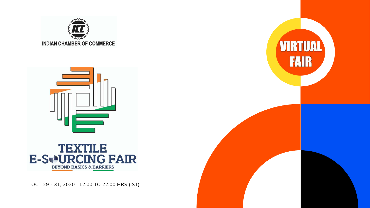



OCT 29 - 31, 2020 | 12:00 TO 22:00 HRS (IST)



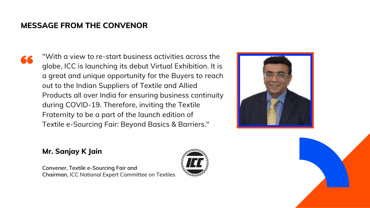"With a view to re-start business activities across the globe, ICC is launching its debut Virtual Exhibition. It is a great and unique opportunity for the Buyers to reach out to the Indian Suppliers of Textile and Allied Products all over India for ensuring business continuity during COVID-19. Therefore, inviting the Textile Fraternity to be a part of the launch edition of Textile e-Sourcing Fair: Beyond Basics & Barriers."

#### **Mr. Sanjay K Jain**

**Convener, Textile e-Sourcing Fair and Chairman,** ICC National Expert Committee on Textiles







#### **MESSAGE FROM THE CONVENOR**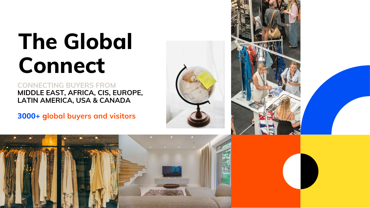

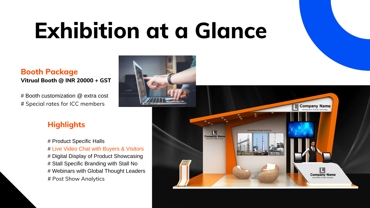# **Exhibition at a Glance**

#### **Highlights**

# Product Specific Halls # Live Video Chat with Buyers & Visitors # Digital Display of Product Showcasing # Stall Specific Branding with Stall No # Webinars with Global Thought Leaders # Post Show Analytics







# Booth customization @ extra cost # Special rates for ICC members

#### **Booth Package Vitrual Booth @ INR 20000 + GST**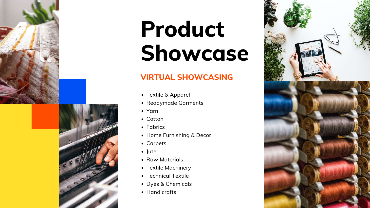

# **Product Showcase**

- Textile & Apparel
- Readymade Garments
- Yarn
- Cotton
- Fabrics
- Home Furnishing & Decor
- Carpets
- Jute
- Raw Materials
- Textile Machinery
- Technical Textile
- Dyes & Chemicals
- Handicrafts





### **VIRTUAL SHOWCASING**